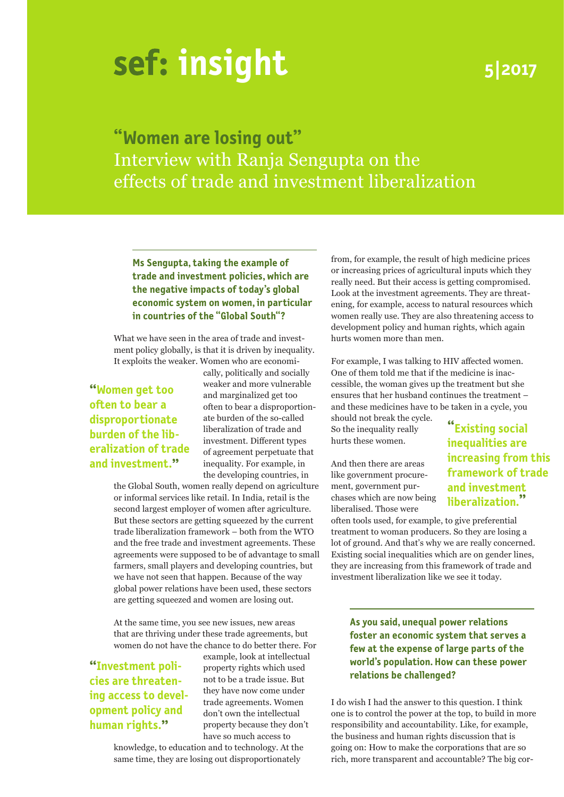# **insight**

# **5|2017**

**"Women are losing out"** Interview with Ranja Sengupta on the effects of trade and investment liberalization

#### **Ms Sengupta, taking the example of trade and investment policies, which are the negative impacts of today's global economic system on women, in particular in countries of the "Global South"?**

What we have seen in the area of trade and investment policy globally, is that it is driven by inequality. It exploits the weaker. Women who are economi-

# **"Women get too often to bear a disproportionate burden of the liberalization of trade and investment."**

cally, politically and socially weaker and more vulnerable and marginalized get too often to bear a disproportionate burden of the so-called liberalization of trade and investment. Different types of agreement perpetuate that inequality. For example, in the developing countries, in

the Global South, women really depend on agriculture or informal services like retail. In India, retail is the second largest employer of women after agriculture. But these sectors are getting squeezed by the current trade liberalization framework – both from the WTO and the free trade and investment agreements. These agreements were supposed to be of advantage to small farmers, small players and developing countries, but we have not seen that happen. Because of the way global power relations have been used, these sectors are getting squeezed and women are losing out.

At the same time, you see new issues, new areas that are thriving under these trade agreements, but women do not have the chance to do better there. For

**"Investment policies are threatening access to development policy and human rights."**

example, look at intellectual property rights which used not to be a trade issue. But they have now come under trade agreements. Women don't own the intellectual property because they don't have so much access to

knowledge, to education and to technology. At the same time, they are losing out disproportionately

from, for example, the result of high medicine prices or increasing prices of agricultural inputs which they really need. But their access is getting compromised. Look at the investment agreements. They are threatening, for example, access to natural resources which women really use. They are also threatening access to development policy and human rights, which again hurts women more than men.

For example, I was talking to HIV affected women. One of them told me that if the medicine is inaccessible, the woman gives up the treatment but she ensures that her husband continues the treatment – and these medicines have to be taken in a cycle, you

should not break the cycle. So the inequality really hurts these women.

And then there are areas like government procurement, government purchases which are now being liberalised. Those were

often tools used, for example, to give preferential treatment to woman producers. So they are losing a lot of ground. And that's why we are really concerned. Existing social inequalities which are on gender lines, they are increasing from this framework of trade and investment liberalization like we see it today.

**As you said, unequal power relations foster an economic system that serves a few at the expense of large parts of the world's population. How can these power relations be challenged?**

I do wish I had the answer to this question. I think one is to control the power at the top, to build in more responsibility and accountability. Like, for example, the business and human rights discussion that is going on: How to make the corporations that are so rich, more transparent and accountable? The big cor-

**"Existing social inequalities are increasing from this framework of trade and investment liberalization."**